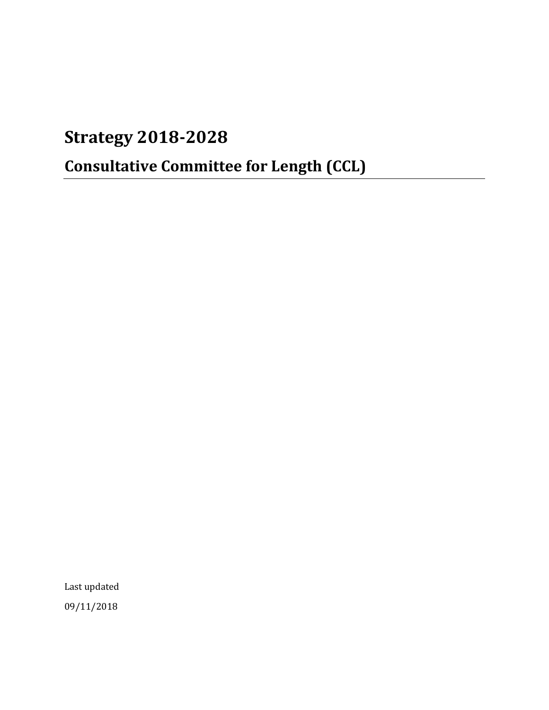# **Strategy 2018-2028**

# **Consultative Committee for Length (CCL)**

Last updated 09/11/2018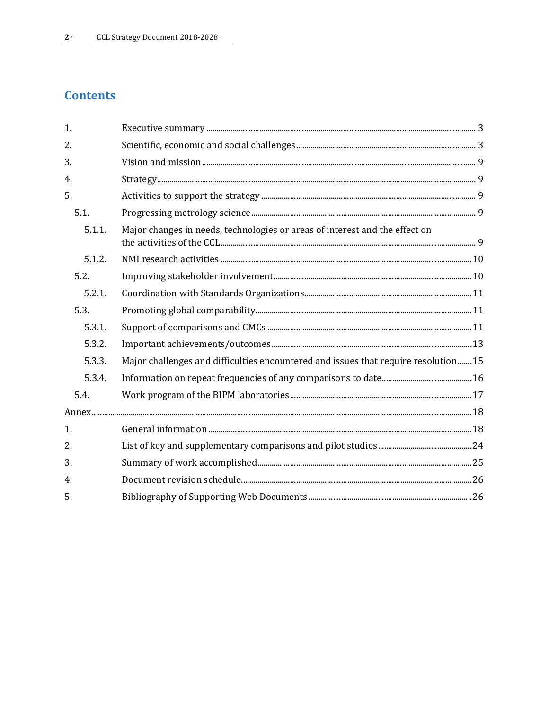# **Contents**

| 1.     |                                                                                    |
|--------|------------------------------------------------------------------------------------|
| 2.     |                                                                                    |
| 3.     |                                                                                    |
| 4.     |                                                                                    |
| 5.     |                                                                                    |
| 5.1.   |                                                                                    |
| 5.1.1. | Major changes in needs, technologies or areas of interest and the effect on        |
| 5.1.2. |                                                                                    |
| 5.2.   |                                                                                    |
| 5.2.1. |                                                                                    |
| 5.3.   |                                                                                    |
| 5.3.1. |                                                                                    |
| 5.3.2. |                                                                                    |
| 5.3.3. | Major challenges and difficulties encountered and issues that require resolution15 |
| 5.3.4. |                                                                                    |
| 5.4.   |                                                                                    |
|        |                                                                                    |
| 1.     |                                                                                    |
| 2.     |                                                                                    |
| 3.     |                                                                                    |
| 4.     |                                                                                    |
| 5.     |                                                                                    |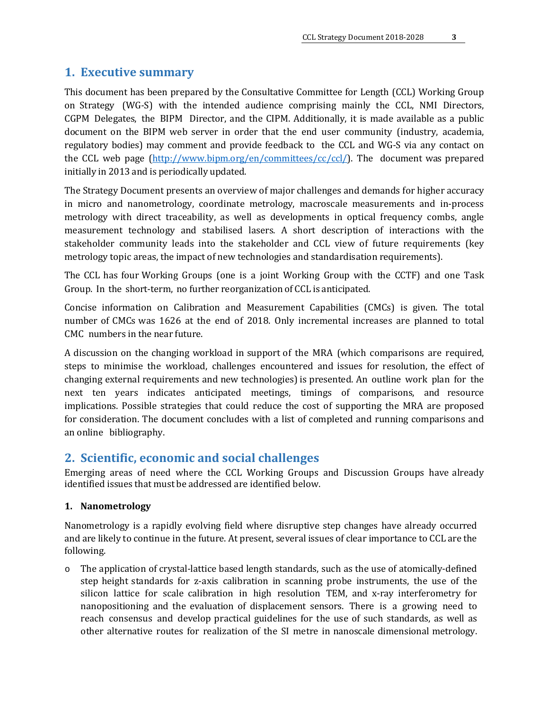## <span id="page-2-0"></span>**1. Executive summary**

This document has been prepared by the Consultative Committee for Length (CCL) Working Group on Strategy (WG-S) with the intended audience comprising mainly the CCL, NMI Directors, CGPM Delegates, the BIPM Director, and the CIPM. Additionally, it is made available as a public document on the BIPM web server in order that the end user community (industry, academia, regulatory bodies) may comment and provide feedback to the CCL and WG-S via any contact on the CCL web page [\(http://www.bipm.org/en/committees/cc/ccl/\)](http://www.bipm.org/en/committees/cc/ccl/). The document was prepared initially in 2013 and is periodically updated.

The Strategy Document presents an overview of major challenges and demands for higher accuracy in micro and nanometrology, coordinate metrology, macroscale measurements and in-process metrology with direct traceability, as well as developments in optical frequency combs, angle measurement technology and stabilised lasers. A short description of interactions with the stakeholder community leads into the stakeholder and CCL view of future requirements (key metrology topic areas, the impact of new technologies and standardisation requirements).

The CCL has four Working Groups (one is a joint Working Group with the CCTF) and one Task Group. In the short-term, no further reorganization of CCL is anticipated.

Concise information on Calibration and Measurement Capabilities (CMCs) is given. The total number of CMCs was 1626 at the end of 2018. Only incremental increases are planned to total CMC numbers in the near future.

A discussion on the changing workload in support of the MRA (which comparisons are required, steps to minimise the workload, challenges encountered and issues for resolution, the effect of changing external requirements and new technologies) is presented. An outline work plan for the next ten years indicates anticipated meetings, timings of comparisons, and resource implications. Possible strategies that could reduce the cost of supporting the MRA are proposed for consideration. The document concludes with a list of completed and running comparisons and an online bibliography.

## <span id="page-2-1"></span>**2. Scientific, economic and social challenges**

Emerging areas of need where the CCL Working Groups and Discussion Groups have already identified issues that must be addressed are identified below.

#### **1. Nanometrology**

Nanometrology is a rapidly evolving field where disruptive step changes have already occurred and are likely to continue in the future. At present, several issues of clear importance to CCL are the following.

o The application of crystal-lattice based length standards, such as the use of atomically-defined step height standards for z-axis calibration in scanning probe instruments, the use of the silicon lattice for scale calibration in high resolution TEM, and x-ray interferometry for nanopositioning and the evaluation of displacement sensors. There is a growing need to reach consensus and develop practical guidelines for the use of such standards, as well as other alternative routes for realization of the SI metre in nanoscale dimensional metrology.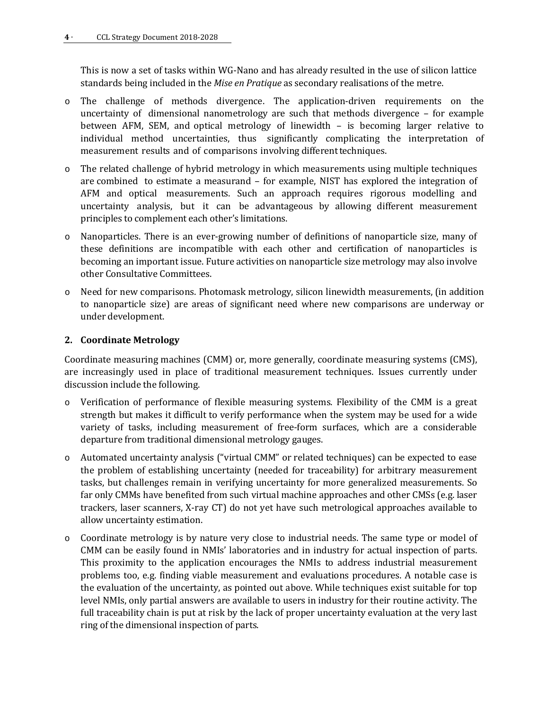This is now a set of tasks within WG-Nano and has already resulted in the use of silicon lattice standards being included in the *Mise en Pratique* as secondary realisations of the metre.

- o The challenge of methods divergence. The application-driven requirements on the uncertainty of dimensional nanometrology are such that methods divergence – for example between AFM, SEM, and optical metrology of linewidth – is becoming larger relative to individual method uncertainties, thus significantly complicating the interpretation of measurement results and of comparisons involving different techniques.
- o The related challenge of hybrid metrology in which measurements using multiple techniques are combined to estimate a measurand – for example, NIST has explored the integration of AFM and optical measurements. Such an approach requires rigorous modelling and uncertainty analysis, but it can be advantageous by allowing different measurement principles to complement each other's limitations.
- o Nanoparticles. There is an ever-growing number of definitions of nanoparticle size, many of these definitions are incompatible with each other and certification of nanoparticles is becoming an important issue. Future activities on nanoparticle size metrology may also involve other Consultative Committees.
- o Need for new comparisons. Photomask metrology, silicon linewidth measurements, (in addition to nanoparticle size) are areas of significant need where new comparisons are underway or under development.

#### **2. Coordinate Metrology**

Coordinate measuring machines (CMM) or, more generally, coordinate measuring systems (CMS), are increasingly used in place of traditional measurement techniques. Issues currently under discussion include the following.

- o Verification of performance of flexible measuring systems. Flexibility of the CMM is a great strength but makes it difficult to verify performance when the system may be used for a wide variety of tasks, including measurement of free-form surfaces, which are a considerable departure from traditional dimensional metrology gauges.
- o Automated uncertainty analysis ("virtual CMM" or related techniques) can be expected to ease the problem of establishing uncertainty (needed for traceability) for arbitrary measurement tasks, but challenges remain in verifying uncertainty for more generalized measurements. So far only CMMs have benefited from such virtual machine approaches and other CMSs (e.g. laser trackers, laser scanners, X-ray CT) do not yet have such metrological approaches available to allow uncertainty estimation.
- o Coordinate metrology is by nature very close to industrial needs. The same type or model of CMM can be easily found in NMIs' laboratories and in industry for actual inspection of parts. This proximity to the application encourages the NMIs to address industrial measurement problems too, e.g. finding viable measurement and evaluations procedures. A notable case is the evaluation of the uncertainty, as pointed out above. While techniques exist suitable for top level NMIs, only partial answers are available to users in industry for their routine activity. The full traceability chain is put at risk by the lack of proper uncertainty evaluation at the very last ring of the dimensional inspection of parts.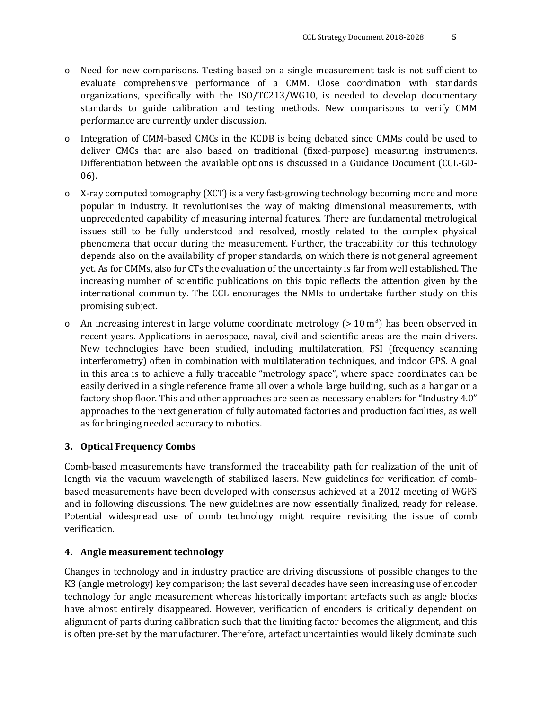- o Need for new comparisons. Testing based on a single measurement task is not sufficient to evaluate comprehensive performance of a CMM. Close coordination with standards organizations, specifically with the ISO/TC213/WG10, is needed to develop documentary standards to guide calibration and testing methods. New comparisons to verify CMM performance are currently under discussion.
- Integration of CMM-based CMCs in the KCDB is being debated since CMMs could be used to deliver CMCs that are also based on traditional (fixed-purpose) measuring instruments. Differentiation between the available options is discussed in a Guidance Document (CCL-GD-06).
- o X-ray computed tomography (XCT) is a very fast-growing technology becoming more and more popular in industry. It revolutionises the way of making dimensional measurements, with unprecedented capability of measuring internal features. There are fundamental metrological issues still to be fully understood and resolved, mostly related to the complex physical phenomena that occur during the measurement. Further, the traceability for this technology depends also on the availability of proper standards, on which there is not general agreement yet. As for CMMs, also for CTs the evaluation of the uncertainty is far from well established. The increasing number of scientific publications on this topic reflects the attention given by the international community. The CCL encourages the NMIs to undertake further study on this promising subject.
- $\circ$  An increasing interest in large volume coordinate metrology (> 10 m<sup>3</sup>) has been observed in recent years. Applications in aerospace, naval, civil and scientific areas are the main drivers. New technologies have been studied, including multilateration, FSI (frequency scanning interferometry) often in combination with multilateration techniques, and indoor GPS. A goal in this area is to achieve a fully traceable "metrology space", where space coordinates can be easily derived in a single reference frame all over a whole large building, such as a hangar or a factory shop floor. This and other approaches are seen as necessary enablers for "Industry 4.0" approaches to the next generation of fully automated factories and production facilities, as well as for bringing needed accuracy to robotics.

#### **3. Optical Frequency Combs**

Comb-based measurements have transformed the traceability path for realization of the unit of length via the vacuum wavelength of stabilized lasers. New guidelines for verification of combbased measurements have been developed with consensus achieved at a 2012 meeting of WGFS and in following discussions. The new guidelines are now essentially finalized, ready for release. Potential widespread use of comb technology might require revisiting the issue of comb verification.

#### **4. Angle measurement technology**

Changes in technology and in industry practice are driving discussions of possible changes to the K3 (angle metrology) key comparison; the last several decades have seen increasing use of encoder technology for angle measurement whereas historically important artefacts such as angle blocks have almost entirely disappeared. However, verification of encoders is critically dependent on alignment of parts during calibration such that the limiting factor becomes the alignment, and this is often pre-set by the manufacturer. Therefore, artefact uncertainties would likely dominate such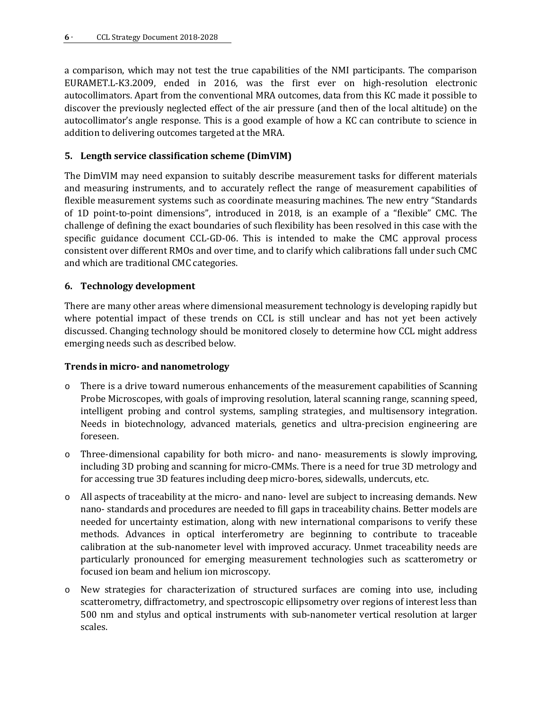a comparison, which may not test the true capabilities of the NMI participants. The comparison EURAMET.L-K3.2009, ended in 2016, was the first ever on high-resolution electronic autocollimators. Apart from the conventional MRA outcomes, data from this KC made it possible to discover the previously neglected effect of the air pressure (and then of the local altitude) on the autocollimator's angle response. This is a good example of how a KC can contribute to science in addition to delivering outcomes targeted at the MRA.

## **5. Length service classification scheme (DimVIM)**

The DimVIM may need expansion to suitably describe measurement tasks for different materials and measuring instruments, and to accurately reflect the range of measurement capabilities of flexible measurement systems such as coordinate measuring machines. The new entry "Standards of 1D point-to-point dimensions", introduced in 2018, is an example of a "flexible" CMC. The challenge of defining the exact boundaries of such flexibility has been resolved in this case with the specific guidance document CCL-GD-06. This is intended to make the CMC approval process consistent over different RMOs and over time, and to clarify which calibrations fall under such CMC and which are traditional CMC categories.

#### **6. Technology development**

There are many other areas where dimensional measurement technology is developing rapidly but where potential impact of these trends on CCL is still unclear and has not yet been actively discussed. Changing technology should be monitored closely to determine how CCL might address emerging needs such as described below.

#### **Trends in micro- and nanometrology**

- o There is a drive toward numerous enhancements of the measurement capabilities of Scanning Probe Microscopes, with goals of improving resolution, lateral scanning range, scanning speed, intelligent probing and control systems, sampling strategies, and multisensory integration. Needs in biotechnology, advanced materials, genetics and ultra-precision engineering are foreseen.
- o Three-dimensional capability for both micro- and nano- measurements is slowly improving, including 3D probing and scanning for micro-CMMs. There is a need for true 3D metrology and for accessing true 3D features including deep micro-bores, sidewalls, undercuts, etc.
- o All aspects of traceability at the micro- and nano- level are subject to increasing demands. New nano- standards and procedures are needed to fill gaps in traceability chains. Better models are needed for uncertainty estimation, along with new international comparisons to verify these methods. Advances in optical interferometry are beginning to contribute to traceable calibration at the sub-nanometer level with improved accuracy. Unmet traceability needs are particularly pronounced for emerging measurement technologies such as scatterometry or focused ion beam and helium ion microscopy.
- o New strategies for characterization of structured surfaces are coming into use, including scatterometry, diffractometry, and spectroscopic ellipsometry over regions of interest less than 500 nm and stylus and optical instruments with sub-nanometer vertical resolution at larger scales.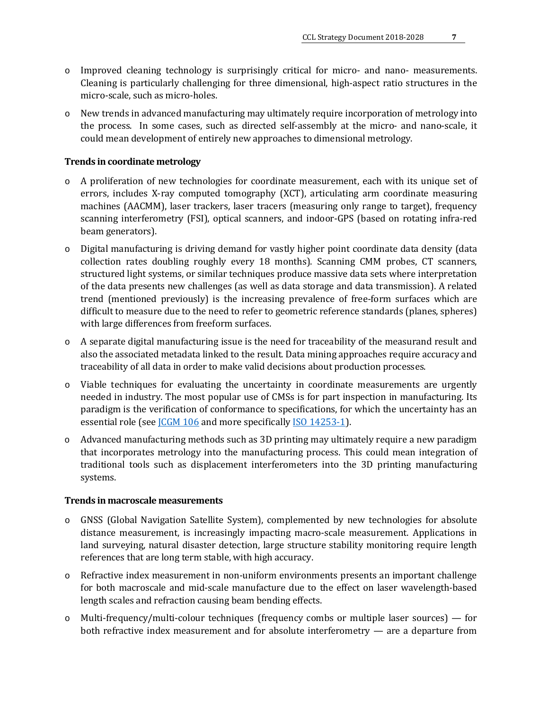- o Improved cleaning technology is surprisingly critical for micro- and nano- measurements. Cleaning is particularly challenging for three dimensional, high-aspect ratio structures in the micro-scale, such as micro-holes.
- o New trends in advanced manufacturing may ultimately require incorporation of metrology into the process. In some cases, such as directed self-assembly at the micro- and nano-scale, it could mean development of entirely new approaches to dimensional metrology.

#### **Trends in coordinate metrology**

- o A proliferation of new technologies for coordinate measurement, each with its unique set of errors, includes X-ray computed tomography (XCT), articulating arm coordinate measuring machines (AACMM), laser trackers, laser tracers (measuring only range to target), frequency scanning interferometry (FSI), optical scanners, and indoor-GPS (based on rotating infra-red beam generators).
- o Digital manufacturing is driving demand for vastly higher point coordinate data density (data collection rates doubling roughly every 18 months). Scanning CMM probes, CT scanners, structured light systems, or similar techniques produce massive data sets where interpretation of the data presents new challenges (as well as data storage and data transmission). A related trend (mentioned previously) is the increasing prevalence of free-form surfaces which are difficult to measure due to the need to refer to geometric reference standards (planes, spheres) with large differences from freeform surfaces.
- o A separate digital manufacturing issue is the need for traceability of the measurand result and also the associated metadata linked to the result. Data mining approaches require accuracy and traceability of all data in order to make valid decisions about production processes.
- o Viable techniques for evaluating the uncertainty in coordinate measurements are urgently needed in industry. The most popular use of CMSs is for part inspection in manufacturing. Its paradigm is the verification of conformance to specifications, for which the uncertainty has an essential role (see *CGM 106* and more specifically *ISO 14253-1*).
- o Advanced manufacturing methods such as 3D printing may ultimately require a new paradigm that incorporates metrology into the manufacturing process. This could mean integration of traditional tools such as displacement interferometers into the 3D printing manufacturing systems.

#### **Trends in macroscale measurements**

- o GNSS (Global Navigation Satellite System), complemented by new technologies for absolute distance measurement, is increasingly impacting macro-scale measurement. Applications in land surveying, natural disaster detection, large structure stability monitoring require length references that are long term stable, with high accuracy.
- o Refractive index measurement in non-uniform environments presents an important challenge for both macroscale and mid-scale manufacture due to the effect on laser wavelength-based length scales and refraction causing beam bending effects.
- o Multi-frequency/multi-colour techniques (frequency combs or multiple laser sources) for both refractive index measurement and for absolute interferometry — are a departure from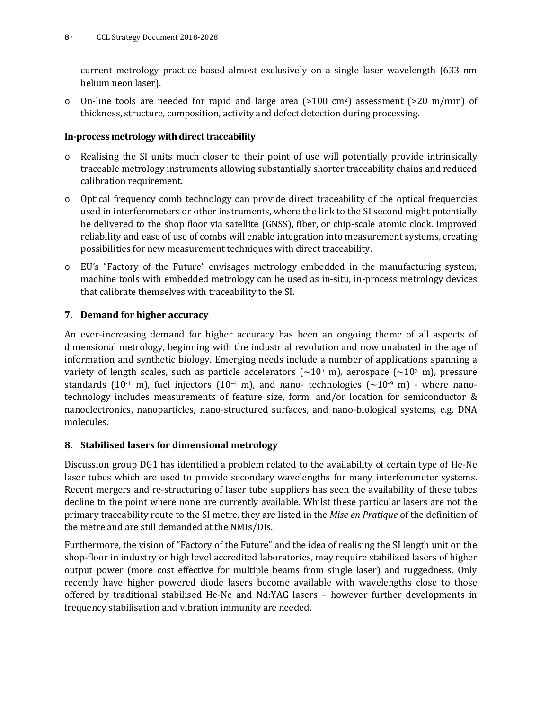current metrology practice based almost exclusively on a single laser wavelength (633 nm helium neon laser).

 $\circ$  On-line tools are needed for rapid and large area (>100 cm<sup>2</sup>) assessment (>20 m/min) of thickness, structure, composition, activity and defect detection during processing.

#### **In-process metrology with direct traceability**

- o Realising the SI units much closer to their point of use will potentially provide intrinsically traceable metrology instruments allowing substantially shorter traceability chains and reduced calibration requirement.
- o Optical frequency comb technology can provide direct traceability of the optical frequencies used in interferometers or other instruments, where the link to the SI second might potentially be delivered to the shop floor via satellite (GNSS), fiber, or chip-scale atomic clock. Improved reliability and ease of use of combs will enable integration into measurement systems, creating possibilities for new measurement techniques with direct traceability.
- o EU's "Factory of the Future" envisages metrology embedded in the manufacturing system; machine tools with embedded metrology can be used as in-situ, in-process metrology devices that calibrate themselves with traceability to the SI.

#### **7. Demand for higher accuracy**

An ever-increasing demand for higher accuracy has been an ongoing theme of all aspects of dimensional metrology, beginning with the industrial revolution and now unabated in the age of information and synthetic biology. Emerging needs include a number of applications spanning a variety of length scales, such as particle accelerators ( $\sim$ 10<sup>3</sup> m), aerospace ( $\sim$ 10<sup>2</sup> m), pressure standards (10<sup>-1</sup> m), fuel injectors (10<sup>-4</sup> m), and nano- technologies ( $\sim$ 10<sup>-9</sup> m) - where nanotechnology includes measurements of feature size, form, and/or location for semiconductor & nanoelectronics, nanoparticles, nano-structured surfaces, and nano-biological systems, e.g. DNA molecules.

#### **8. Stabilised lasers for dimensional metrology**

Discussion group DG1 has identified a problem related to the availability of certain type of He-Ne laser tubes which are used to provide secondary wavelengths for many interferometer systems. Recent mergers and re-structuring of laser tube suppliers has seen the availability of these tubes decline to the point where none are currently available. Whilst these particular lasers are not the primary traceability route to the SI metre, they are listed in the *Mise en Pratique* of the definition of the metre and are still demanded at the NMIs/DIs.

Furthermore, the vision of "Factory of the Future" and the idea of realising the SI length unit on the shop-floor in industry or high level accredited laboratories, may require stabilized lasers of higher output power (more cost effective for multiple beams from single laser) and ruggedness. Only recently have higher powered diode lasers become available with wavelengths close to those offered by traditional stabilised He-Ne and Nd:YAG lasers – however further developments in frequency stabilisation and vibration immunity are needed.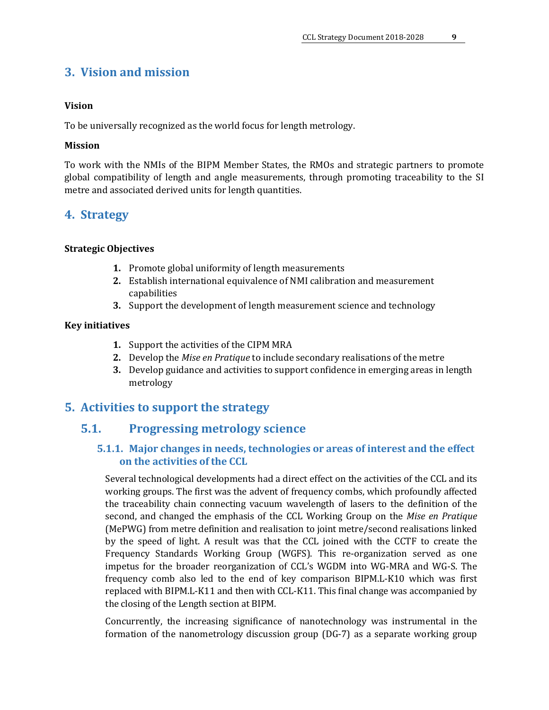# <span id="page-8-0"></span>**3. Vision and mission**

#### **Vision**

To be universally recognized as the world focus for length metrology.

#### **Mission**

To work with the NMIs of the BIPM Member States, the RMOs and strategic partners to promote global compatibility of length and angle measurements, through promoting traceability to the SI metre and associated derived units for length quantities.

## <span id="page-8-1"></span>**4. Strategy**

#### **Strategic Objectives**

- **1.** Promote global uniformity of length measurements
- **2.** Establish international equivalence of NMI calibration and measurement capabilities
- **3.** Support the development of length measurement science and technology

#### **Key initiatives**

- **1.** Support the activities of the CIPM MRA
- **2.** Develop the *Mise en Pratique* to include secondary realisations of the metre
- **3.** Develop guidance and activities to support confidence in emerging areas in length metrology

## <span id="page-8-3"></span><span id="page-8-2"></span>**5. Activities to support the strategy**

## <span id="page-8-4"></span>**5.1. Progressing metrology science**

## **5.1.1. Major changes in needs, technologies or areas of interest and the effect on the activities of the CCL**

Several technological developments had a direct effect on the activities of the CCL and its working groups. The first was the advent of frequency combs, which profoundly affected the traceability chain connecting vacuum wavelength of lasers to the definition of the second, and changed the emphasis of the CCL Working Group on the *Mise en Pratique* (MePWG) from metre definition and realisation to joint metre/second realisations linked by the speed of light. A result was that the CCL joined with the CCTF to create the Frequency Standards Working Group (WGFS). This re-organization served as one impetus for the broader reorganization of CCL's WGDM into WG-MRA and WG-S. The frequency comb also led to the end of key comparison BIPM.L-K10 which was first replaced with BIPM.L-K11 and then with CCL-K11. This final change was accompanied by the closing of the Length section at BIPM.

Concurrently, the increasing significance of nanotechnology was instrumental in the formation of the nanometrology discussion group (DG-7) as a separate working group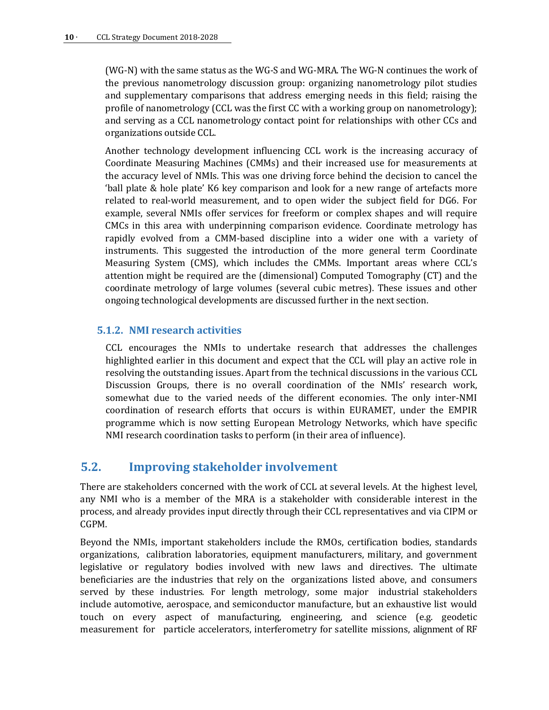(WG-N) with the same status as the WG-S and WG-MRA. The WG-N continues the work of the previous nanometrology discussion group: organizing nanometrology pilot studies and supplementary comparisons that address emerging needs in this field; raising the profile of nanometrology (CCL was the first CC with a working group on nanometrology); and serving as a CCL nanometrology contact point for relationships with other CCs and organizations outside CCL.

Another technology development influencing CCL work is the increasing accuracy of Coordinate Measuring Machines (CMMs) and their increased use for measurements at the accuracy level of NMIs. This was one driving force behind the decision to cancel the 'ball plate & hole plate' K6 key comparison and look for a new range of artefacts more related to real-world measurement, and to open wider the subject field for DG6. For example, several NMIs offer services for freeform or complex shapes and will require CMCs in this area with underpinning comparison evidence. Coordinate metrology has rapidly evolved from a CMM-based discipline into a wider one with a variety of instruments. This suggested the introduction of the more general term Coordinate Measuring System (CMS), which includes the CMMs. Important areas where CCL's attention might be required are the (dimensional) Computed Tomography (CT) and the coordinate metrology of large volumes (several cubic metres). These issues and other ongoing technological developments are discussed further in the next section.

#### <span id="page-9-0"></span>**5.1.2. NMI research activities**

CCL encourages the NMIs to undertake research that addresses the challenges highlighted earlier in this document and expect that the CCL will play an active role in resolving the outstanding issues. Apart from the technical discussions in the various CCL Discussion Groups, there is no overall coordination of the NMIs' research work, somewhat due to the varied needs of the different economies. The only inter-NMI coordination of research efforts that occurs is within EURAMET, under the EMPIR programme which is now setting European Metrology Networks, which have specific NMI research coordination tasks to perform (in their area of influence).

# <span id="page-9-1"></span>**5.2. Improving stakeholder involvement**

There are stakeholders concerned with the work of CCL at several levels. At the highest level, any NMI who is a member of the MRA is a stakeholder with considerable interest in the process, and already provides input directly through their CCL representatives and via CIPM or CGPM.

Beyond the NMIs, important stakeholders include the RMOs, certification bodies, standards organizations, calibration laboratories, equipment manufacturers, military, and government legislative or regulatory bodies involved with new laws and directives. The ultimate beneficiaries are the industries that rely on the organizations listed above, and consumers served by these industries. For length metrology, some major industrial stakeholders include automotive, aerospace, and semiconductor manufacture, but an exhaustive list would touch on every aspect of manufacturing, engineering, and science (e.g. geodetic measurement for particle accelerators, interferometry for satellite missions, alignment of RF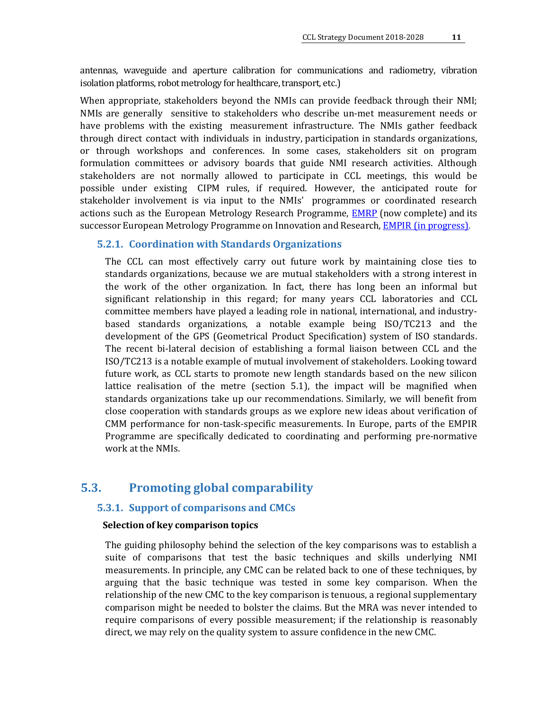antennas, waveguide and aperture calibration for communications and radiometry, vibration isolation platforms, robot metrology for healthcare, transport, etc.)

When appropriate, stakeholders beyond the NMIs can provide feedback through their NMI; NMIs are generally sensitive to stakeholders who describe un-met measurement needs or have problems with the existing measurement infrastructure. The NMIs gather feedback through direct contact with individuals in industry, participation in standards organizations, or through workshops and conferences. In some cases, stakeholders sit on program formulation committees or advisory boards that guide NMI research activities. Although stakeholders are not normally allowed to participate in CCL meetings, this would be possible under existing CIPM rules, if required. However, the anticipated route for stakeholder involvement is via input to the NMIs' programmes or coordinated research actions such as the European Metrology Research Programme, [EMRP](http://www.euramet.org/index.php?id=emrp) (now complete) and its successor European Metrology Programme on Innovation and Research, **EMPIR** (in progress).

#### <span id="page-10-0"></span>**5.2.1. Coordination with Standards Organizations**

The CCL can most effectively carry out future work by maintaining close ties to standards organizations, because we are mutual stakeholders with a strong interest in the work of the other organization. In fact, there has long been an informal but significant relationship in this regard; for many years CCL laboratories and CCL committee members have played a leading role in national, international, and industrybased standards organizations, a notable example being ISO/TC213 and the development of the GPS (Geometrical Product Specification) system of ISO standards. The recent bi-lateral decision of establishing a formal liaison between CCL and the ISO/TC213 is a notable example of mutual involvement of stakeholders. Looking toward future work, as CCL starts to promote new length standards based on the new silicon lattice realisation of the metre (section 5.1), the impact will be magnified when standards organizations take up our recommendations. Similarly, we will benefit from close cooperation with standards groups as we explore new ideas about verification of CMM performance for non-task-specific measurements. In Europe, parts of the EMPIR Programme are specifically dedicated to coordinating and performing pre-normative work at the NMIs.

## <span id="page-10-2"></span><span id="page-10-1"></span>**5.3. Promoting global comparability**

#### **5.3.1. Support of comparisons and CMCs**

#### **Selection of key comparison topics**

The guiding philosophy behind the selection of the key comparisons was to establish a suite of comparisons that test the basic techniques and skills underlying NMI measurements. In principle, any CMC can be related back to one of these techniques, by arguing that the basic technique was tested in some key comparison. When the relationship of the new CMC to the key comparison is tenuous, a regional supplementary comparison might be needed to bolster the claims. But the MRA was never intended to require comparisons of every possible measurement; if the relationship is reasonably direct, we may rely on the quality system to assure confidence in the new CMC.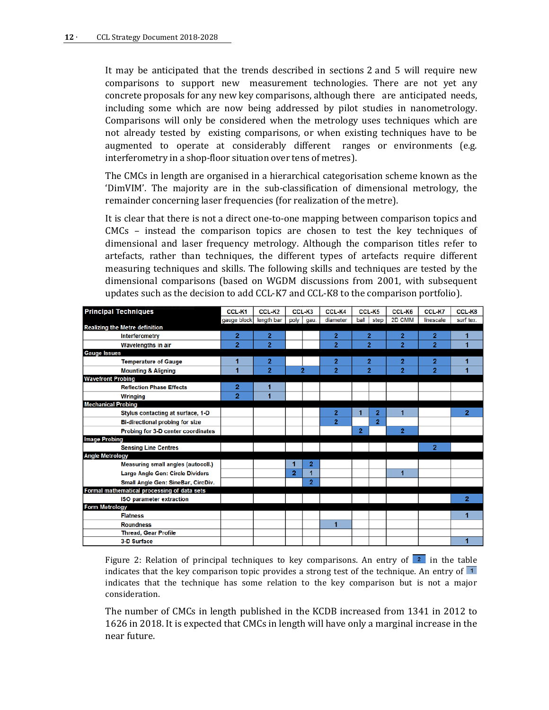It may be anticipated that the trends described in sections 2 and 5 will require new comparisons to support new measurement technologies. There are not yet any concrete proposals for any new key comparisons, although there are anticipated needs, including some which are now being addressed by pilot studies in nanometrology. Comparisons will only be considered when the metrology uses techniques which are not already tested by existing comparisons, or when existing techniques have to be augmented to operate at considerably different ranges or environments (e.g. interferometry in a shop-floor situation over tens of metres).

The CMCs in length are organised in a hierarchical categorisation scheme known as the ['DimVIM'.](http://www.bipm.org/utils/common/pdf/DimVIM/dim-vim-en.pdf) The majority are in the sub-classification of dimensional metrology, the remainder concerning laser frequencies (for realization of the metre).

It is clear that there is not a direct one-to-one mapping between comparison topics and CMCs – instead the comparison topics are chosen to test the key techniques of dimensional and laser frequency metrology. Although the comparison titles refer to artefacts, rather than techniques, the different types of artefacts require different measuring techniques and skills. The following skills and techniques are tested by the dimensional comparisons (based on WGDM discussions from 2001, with subsequent updates such as the decision to add CCL-K7 and CCL-K8 to the comparison portfolio).

| <b>Principal Techniques</b>                 | CCL-K1         | CCL-K2         |                | CCL-K3         | CCL-K4         |                | CCL-K5         | CCL-K6         | CCL-K7         | CCL-K8         |
|---------------------------------------------|----------------|----------------|----------------|----------------|----------------|----------------|----------------|----------------|----------------|----------------|
|                                             | gauge block    | length bar     | poly           | gau.           | diameter       | ball           | step           | 2D CMM         | linescale      | surf tex.      |
| <b>Realizing the Metre definition</b>       |                |                |                |                |                |                |                |                |                |                |
| Interferometry                              | $\overline{2}$ | $\overline{2}$ |                |                | $\overline{2}$ |                | $\overline{2}$ | $\overline{2}$ | $\overline{2}$ | 1              |
| Wavelengths in air                          | $\overline{2}$ | $\overline{2}$ |                |                | $\overline{2}$ |                | $\overline{2}$ | $\overline{2}$ | $\overline{2}$ | 1              |
| <b>Gauge Issues</b>                         |                |                |                |                |                |                |                |                |                |                |
| <b>Temperature of Gauge</b>                 |                | 2              |                |                | 2              |                | 2              | $\overline{2}$ | $\mathbf{z}$   |                |
| <b>Mounting &amp; Aligning</b>              |                | $\overline{2}$ |                | $\overline{2}$ | $\overline{2}$ |                | $\overline{2}$ | $\overline{2}$ | $\overline{2}$ |                |
| <b>Wavefront Probing</b>                    |                |                |                |                |                |                |                |                |                |                |
| <b>Reflection Phase Effects</b>             | 2              |                |                |                |                |                |                |                |                |                |
| <b>Wringing</b>                             | $\overline{2}$ |                |                |                |                |                |                |                |                |                |
| <b>Mechanical Probing</b>                   |                |                |                |                |                |                |                |                |                |                |
| Stylus contacting at surface, 1-D           |                |                |                |                | 2              |                | 2              |                |                | 2              |
| <b>Bi-directional probing for size</b>      |                |                |                |                | $\overline{2}$ |                | $\overline{2}$ |                |                |                |
| Probing for 3-D center coordinates          |                |                |                |                |                | $\overline{2}$ |                | $\overline{2}$ |                |                |
| <b>Image Probing</b>                        |                |                |                |                |                |                |                |                |                |                |
| <b>Sensing Line Centres</b>                 |                |                |                |                |                |                |                |                | $\overline{2}$ |                |
| <b>Angle Metrology</b>                      |                |                |                |                |                |                |                |                |                |                |
| Measuring small angles (autocoll.)          |                |                |                | $\overline{2}$ |                |                |                |                |                |                |
| Large Angle Gen: Circle Dividers            |                |                | $\overline{2}$ | ٠              |                |                |                | $\overline{1}$ |                |                |
| Small Angle Gen: SineBar, CircDiv.          |                |                |                | $\overline{2}$ |                |                |                |                |                |                |
| Formal mathematical processing of data sets |                |                |                |                |                |                |                |                |                |                |
| <b>ISO parameter extraction</b>             |                |                |                |                |                |                |                |                |                | $\overline{2}$ |
| <b>Form Metrology</b>                       |                |                |                |                |                |                |                |                |                |                |
| <b>Flatness</b>                             |                |                |                |                |                |                |                |                |                | 1              |
| <b>Roundness</b>                            |                |                |                |                | 1              |                |                |                |                |                |
| <b>Thread, Gear Profile</b>                 |                |                |                |                |                |                |                |                |                |                |
| 3-D Surface                                 |                |                |                |                |                |                |                |                |                | 1              |

Figure 2: Relation of principal techniques to key comparisons. An entry of  $\frac{2}{\epsilon}$  in the table indicates that the key comparison topic provides a strong test of the technique. An entry of  $\overline{1}$ indicates that the technique has some relation to the key comparison but is not a major consideration.

The number of CMCs in length published in the KCDB increased from 1341 in 2012 to 1626 in 2018. It is expected that CMCs in length will have only a marginal increase in the near future.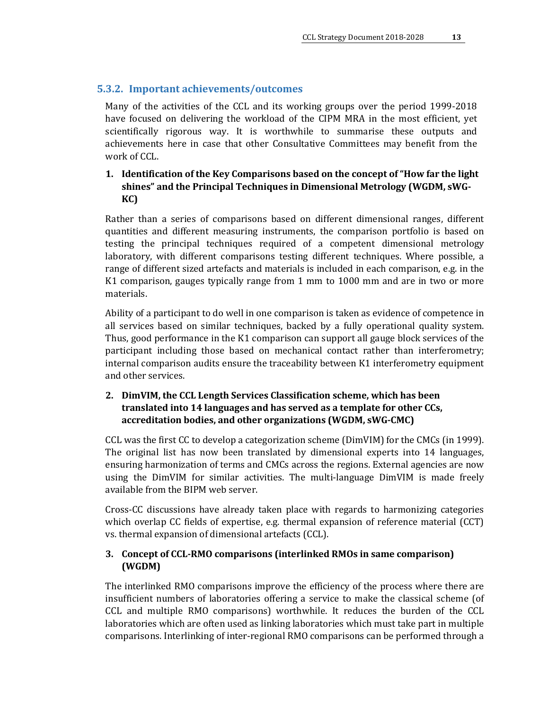#### <span id="page-12-0"></span>**5.3.2. Important achievements/outcomes**

Many of the activities of the CCL and its working groups over the period 1999-2018 have focused on delivering the workload of the CIPM MRA in the most efficient, yet scientifically rigorous way. It is worthwhile to summarise these outputs and achievements here in case that other Consultative Committees may benefit from the work of CCL.

## **1. Identification of the Key Comparisons based on the concept of "How far the light shines" and the Principal Techniques in Dimensional Metrology (WGDM, sWG-KC)**

Rather than a series of comparisons based on different dimensional ranges, different quantities and different measuring instruments, the comparison portfolio is based on testing the principal techniques required of a competent dimensional metrology laboratory, with different comparisons testing different techniques. Where possible, a range of different sized artefacts and materials is included in each comparison, e.g. in the K1 comparison, gauges typically range from 1 mm to 1000 mm and are in two or more materials.

Ability of a participant to do well in one comparison is taken as evidence of competence in all services based on similar techniques, backed by a fully operational quality system. Thus, good performance in the K1 comparison can support all gauge block services of the participant including those based on mechanical contact rather than interferometry; internal comparison audits ensure the traceability between K1 interferometry equipment and other services.

#### **2. DimVIM, the CCL Length Services Classification scheme, which has been translated into 14 languages and has served as a template for other CCs, accreditation bodies, and other organizations (WGDM, sWG-CMC)**

CCL was the first CC to develop a categorization scheme (DimVIM) for the CMCs (in 1999). The original list has now been translated by dimensional experts into 14 languages, ensuring harmonization of terms and CMCs across the regions. External agencies are now using the DimVIM for similar activities. The multi-language [DimVIM i](http://www.bipm.org/en/committees/cc/ccl/dimvim.html)s made freely available from the BIPM web server.

Cross-CC discussions have already taken place with regards to harmonizing categories which overlap CC fields of expertise, e.g. thermal expansion of reference material (CCT) vs. thermal expansion of dimensional artefacts (CCL).

#### **3. Concept o[f CCL-RMO comparisons \(](http://www.bipm.org/wg/CCL/CCL-WG/Allowed/General_CCL-WG_docs/CCL-WG-MRA-GD-2.pdf)interlinked RMOs in same comparison) (WGDM)**

The interlinked RMO comparisons improve the efficiency of the process where there are insufficient numbers of laboratories offering a service to make the classical scheme (of CCL and multiple RMO comparisons) worthwhile. It reduces the burden of the CCL laboratories which are often used as linking laboratories which must take part in multiple comparisons. Interlinking of inter-regional RMO comparisons can be performed through a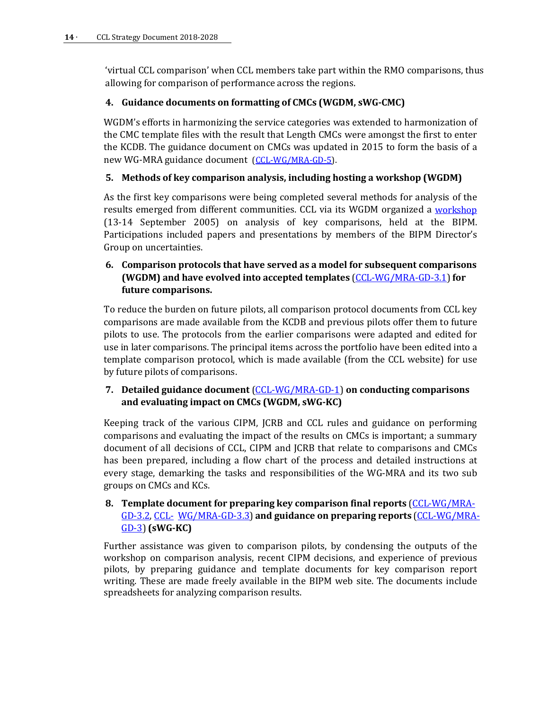'virtual CCL comparison' when CCL members take part within the RMO comparisons, thus allowing for comparison of performance across the regions.

### **4. Guidance documents on formatting of CMCs (WGDM, sWG-CMC)**

WGDM's efforts in harmonizing the service categories was extended to harmonization of the CMC template files with the result that Length CMCs were amongst the first to enter the KCDB. The guidance document on CMCs was updated in 2015 to form the basis of a new WG-MRA guidance document [\(CCL-WG/MRA-GD-5\)](http://www.bipm.org/wg/CCL/CCL-WG/Allowed/General_CCL-WG_docs/CCL-WG-MRA-GD-5-V2.doc).

## **5. Methods of key comparison analysis, including hosting a workshop (WGDM)**

As the first key comparisons were being completed several methods for analysis of the results emerged from different communities. CCL via its WGDM organized a [workshop](http://www.bipm.org/wg/CCL/CCL-WG/Restricted/2005/WGDM-Meeting-DOCS-2005.zip) (13-14 September 2005) on analysis of key comparisons, held at the BIPM. Participations included papers and presentations by members of the BIPM Director's Group on uncertainties.

## **6. Comparison protocols that have served as a model for subsequent comparisons (WGDM) and have evolved into accepted templates** [\(CCL-WG/MRA-GD-3.1\)](http://www.bipm.org/wg/CCL/CCL-WG/Allowed/General_CCL-WG_docs/CCL-WG-MRA-GD-3.1-KC-technical-protocol-template.doc)**for future comparisons.**

To reduce the burden on future pilots, all comparison protocol documents from CCL key comparisons are made available from the KCDB and previous pilots offer them to future pilots to use. The protocols from the earlier comparisons were adapted and edited for use in later comparisons. The principal items across the portfolio have been edited into a template comparison protocol, which is made available (from the CCL website) for use by future pilots of comparisons.

## **7. Detailed guidance document** [\(CCL-WG/MRA-GD-1\)](http://www.bipm.org/wg/CCL/CCL-WG/Allowed/General_CCL-WG_docs/CCL-WG-MRA-GD-1-v6.pdf) **on conducting comparisons and evaluating impact on CMCs (WGDM, sWG-KC)**

Keeping track of the various CIPM, JCRB and CCL rules and guidance on performing comparisons and evaluating the impact of the results on CMCs is important; a summary document of all decisions of CCL, CIPM and JCRB that relate to comparisons and CMCs has been prepared, including a flow chart of the process and detailed instructions at every stage, demarking the tasks and responsibilities of the WG-MRA and its two sub groups on CMCs and KCs.

## **8. Template document for preparing key comparison final reports** [\(CCL-WG/MRA-](http://www.bipm.org/wg/CCL/CCL-WG/Allowed/General_CCL-WG_docs/CCL-WG-MRA-GD-3.2-KC-report-template.doc)[GD-3.2,](http://www.bipm.org/wg/CCL/CCL-WG/Allowed/General_CCL-WG_docs/CCL-WG-MRA-GD-3.2-KC-report-template.doc) [CCL-](http://www.bipm.org/wg/CCL/CCL-WG/Allowed/General_CCL-WG_docs/CCL-WG-MRA-GD-3.3-Executive-report-template.doc) [WG/MRA-GD-3.3\)](http://www.bipm.org/wg/CCL/CCL-WG/Allowed/General_CCL-WG_docs/CCL-WG-MRA-GD-3.3-Executive-report-template.doc) **and guidance on preparing reports** [\(CCL-WG/MRA-](http://www.bipm.org/wg/CCL/CCL-WG/Allowed/General_CCL-WG_docs/CCL-WG-MRA-GD-3-v1.5.doc)[GD-3\)](http://www.bipm.org/wg/CCL/CCL-WG/Allowed/General_CCL-WG_docs/CCL-WG-MRA-GD-3-v1.5.doc) **(sWG-KC)**

Further assistance was given to comparison pilots, by condensing the outputs of the workshop on comparison analysis, recent CIPM decisions, and experience of previous pilots, by preparing guidance and template documents for key comparison report writing. These are made freely available in the BIPM web site. The documents include spreadsheets for analyzing comparison results.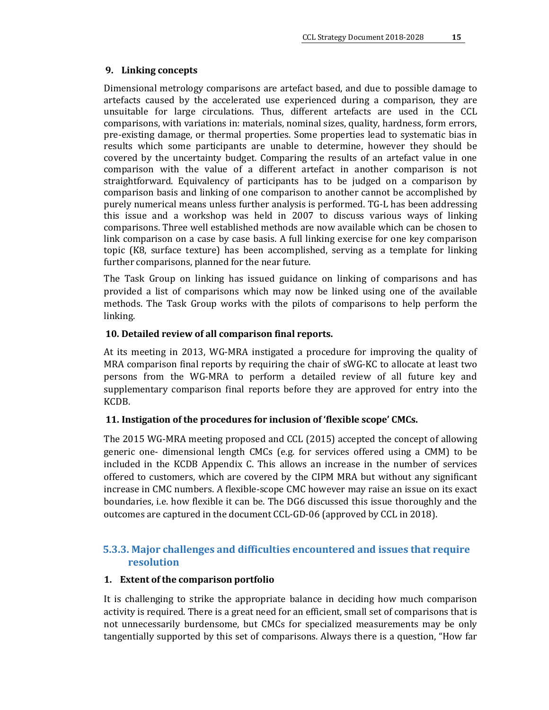#### **9. Linking concepts**

Dimensional metrology comparisons are artefact based, and due to possible damage to artefacts caused by the accelerated use experienced during a comparison, they are unsuitable for large circulations. Thus, different artefacts are used in the CCL comparisons, with variations in: materials, nominal sizes, quality, hardness, form errors, pre-existing damage, or thermal properties. Some properties lead to systematic bias in results which some participants are unable to determine, however they should be covered by the uncertainty budget. Comparing the results of an artefact value in one comparison with the value of a different artefact in another comparison is not straightforward. Equivalency of participants has to be judged on a comparison by comparison basis and linking of one comparison to another cannot be accomplished by purely numerical means unless further analysis is performed. TG-L has been addressing this issue and a workshop was held in 2007 to discuss various ways of linking comparisons. Three well established methods are now available which can be chosen to link comparison on a case by case basis. A full linking exercise for one key comparison topic (K8, surface texture) has been accomplished, serving as a template for linking further comparisons, planned for the near future.

The Task Group on linking has issued guidance on linking of comparisons and has provided a list of comparisons which may now be linked using one of the available methods. The Task Group works with the pilots of comparisons to help perform the linking.

#### **10. Detailed review of all comparison final reports.**

At its meeting in 2013, WG-MRA instigated a procedure for improving the quality of MRA comparison final reports by requiring the chair of sWG-KC to allocate at least two persons from the WG-MRA to perform a detailed review of all future key and supplementary comparison final reports before they are approved for entry into the KCDB.

#### **11. Instigation of the procedures for inclusion of 'flexible scope' CMCs.**

The 2015 WG-MRA meeting proposed and CCL (2015) accepted the concept of allowing generic one- dimensional length CMCs (e.g. for services offered using a CMM) to be included in the KCDB Appendix C. This allows an increase in the number of services offered to customers, which are covered by the CIPM MRA but without any significant increase in CMC numbers. A flexible-scope CMC however may raise an issue on its exact boundaries, i.e. how flexible it can be. The DG6 discussed this issue thoroughly and the outcomes are captured in the document CCL-GD-06 (approved by CCL in 2018).

## <span id="page-14-0"></span>**5.3.3. Major challenges and difficulties encountered and issues that require resolution**

#### **1. Extent of the comparison portfolio**

It is challenging to strike the appropriate balance in deciding how much comparison activity is required. There is a great need for an efficient, small set of comparisons that is not unnecessarily burdensome, but CMCs for specialized measurements may be only tangentially supported by this set of comparisons. Always there is a question, "How far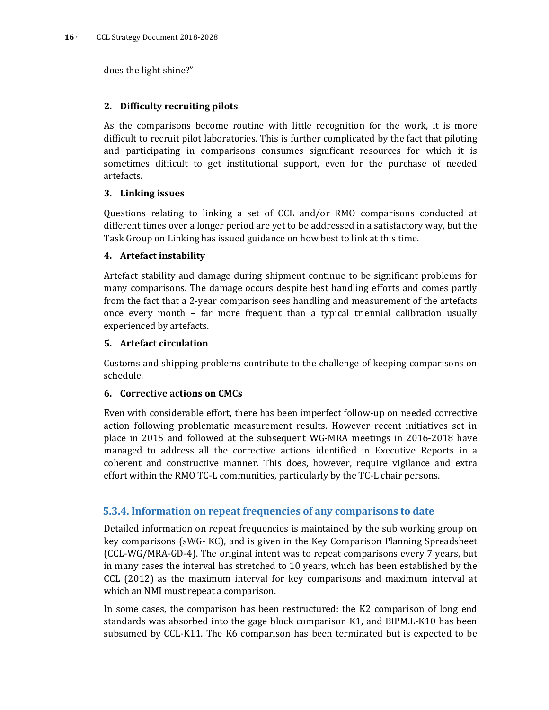does the light shine?"

## **2. Difficulty recruiting pilots**

As the comparisons become routine with little recognition for the work, it is more difficult to recruit pilot laboratories. This is further complicated by the fact that piloting and participating in comparisons consumes significant resources for which it is sometimes difficult to get institutional support, even for the purchase of needed artefacts.

## **3. Linking issues**

Questions relating to linking a set of CCL and/or RMO comparisons conducted at different times over a longer period are yet to be addressed in a satisfactory way, but the Task Group on Linking has issued guidance on how best to link at this time.

## **4. Artefact instability**

Artefact stability and damage during shipment continue to be significant problems for many comparisons. The damage occurs despite best handling efforts and comes partly from the fact that a 2-year comparison sees handling and measurement of the artefacts once every month – far more frequent than a typical triennial calibration usually experienced by artefacts.

## **5. Artefact circulation**

Customs and shipping problems contribute to the challenge of keeping comparisons on schedule.

#### **6. Corrective actions on CMCs**

Even with considerable effort, there has been imperfect follow-up on needed corrective action following problematic measurement results. However recent initiatives set in place in 2015 and followed at the subsequent WG-MRA meetings in 2016-2018 have managed to address all the corrective actions identified in Executive Reports in a coherent and constructive manner. This does, however, require vigilance and extra effort within the RMO TC-L communities, particularly by the TC-L chair persons.

## <span id="page-15-0"></span>**5.3.4. Information on repeat frequencies of any comparisons to date**

Detailed information on repeat frequencies is maintained by the sub working group on key comparisons (sWG- KC), and is given in the Key Comparison Planning Spreadsheet [\(CCL-WG/MRA-GD-4\)](http://www.bipm.org/wg/CCL/CCL-WG/Allowed/General_CCL-WG_docs/CCL-WG-MRA-GD4-KC-Planning.xls). The original intent was to repeat comparisons every 7 years, but in many cases the interval has stretched to 10 years, which has been established by the CCL (2012) as the maximum interval for key comparisons and maximum interval at which an NMI must repeat a comparison.

In some cases, the comparison has been restructured: the K2 comparison of long end standards was absorbed into the gage block comparison K1, and BIPM.L-K10 has been subsumed by CCL-K11. The K6 comparison has been terminated but is expected to be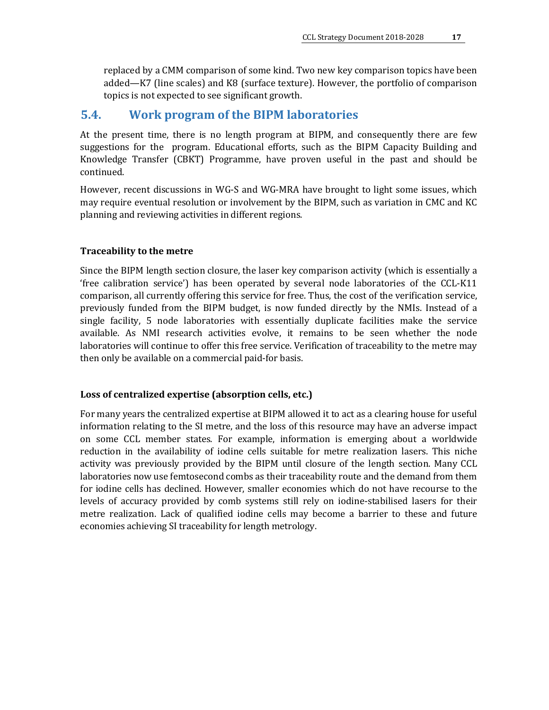replaced by a CMM comparison of some kind. Two new key comparison topics have been added—K7 (line scales) and K8 (surface texture). However, the portfolio of comparison topics is not expected to see significant growth.

## <span id="page-16-0"></span>**5.4. Work program of the BIPM laboratories**

At the present time, there is no length program at BIPM, and consequently there are few suggestions for the program. Educational efforts, such as the BIPM Capacity Building and Knowledge Transfer (CBKT) Programme, have proven useful in the past and should be continued.

However, recent discussions in WG-S and WG-MRA have brought to light some issues, which may require eventual resolution or involvement by the BIPM, such as variation in CMC and KC planning and reviewing activities in different regions.

#### **Traceability to the metre**

Since the BIPM length section closure, the laser key comparison activity (which is essentially a 'free calibration service') has been operated by several node laboratories of the CCL-K11 comparison, all currently offering this service for free. Thus, the cost of the verification service, previously funded from the BIPM budget, is now funded directly by the NMIs. Instead of a single facility, 5 node laboratories with essentially duplicate facilities make the service available. As NMI research activities evolve, it remains to be seen whether the node laboratories will continue to offer this free service. Verification of traceability to the metre may then only be available on a commercial paid-for basis.

#### **Loss of centralized expertise (absorption cells, etc.)**

For many years the centralized expertise at BIPM allowed it to act as a clearing house for useful information relating to the SI metre, and the loss of this resource may have an adverse impact on some CCL member states. For example, information is emerging about a worldwide reduction in the availability of iodine cells suitable for metre realization lasers. This niche activity was previously provided by the BIPM until closure of the length section. Many CCL laboratories now use femtosecond combs as their traceability route and the demand from them for iodine cells has declined. However, smaller economies which do not have recourse to the levels of accuracy provided by comb systems still rely on iodine-stabilised lasers for their metre realization. Lack of qualified iodine cells may become a barrier to these and future economies achieving SI traceability for length metrology.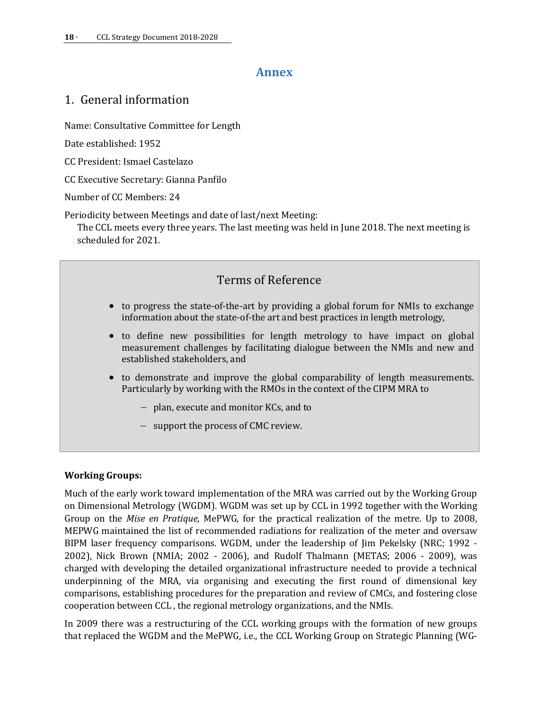## **Annex**

## <span id="page-17-1"></span><span id="page-17-0"></span>1. General information

Name: Consultative Committee for Length

Date established: 1952

CC President: Ismael Castelazo

CC Executive Secretary: Gianna Panfilo

Number of CC Members: 24

Periodicity between Meetings and date of last/next Meeting:

The CCL meets every three years. The last meeting was held in June 2018. The next meeting is scheduled for 2021.

# Terms of Reference

- to progress the state-of-the-art by providing a global forum for NMIs to exchange information about the state-of-the art and best practices in length metrology,
- to define new possibilities for length metrology to have impact on global measurement challenges by facilitating dialogue between the NMIs and new and established stakeholders, and
- to demonstrate and improve the global comparability of length measurements. Particularly by working with the RMOs in the context of the CIPM MRA to
	- − plan, execute and monitor KCs, and to
	- − support the process of CMC review.

#### **Working Groups:**

Much of the early work toward implementation of the MRA was carried out by the Working Group on Dimensional Metrology (WGDM). WGDM was set up by CCL in 1992 together with the Working Group on the *Mise en Pratique*, MePWG, for the practical realization of the metre. Up to 2008, MEPWG maintained the list of recommended radiations for realization of the meter and oversaw BIPM laser frequency comparisons. WGDM, under the leadership of Jim Pekelsky (NRC; 1992 - 2002), Nick Brown (NMIA; 2002 - 2006), and Rudolf Thalmann (METAS; 2006 - 2009), was charged with developing the detailed organizational infrastructure needed to provide a technical underpinning of the MRA, via organising and executing the first round of dimensional key comparisons, establishing procedures for the preparation and review of CMCs, and fostering close cooperation between CCL , the regional metrology organizations, and the NMIs.

In 2009 there was a restructuring of the CCL working groups with the formation of new groups that replaced the WGDM and the MePWG, i.e., the CCL Working Group on Strategic Planning (WG-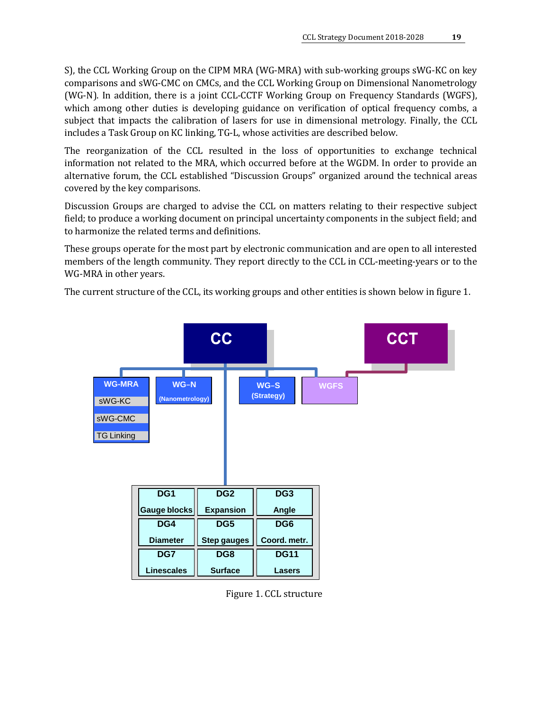S), the CCL Working Group on the CIPM MRA (WG-MRA) with sub-working groups sWG-KC on key comparisons and sWG-CMC on CMCs, and the CCL Working Group on Dimensional Nanometrology (WG-N). In addition, there is a joint CCL-CCTF Working Group on Frequency Standards (WGFS), which among other duties is developing guidance on verification of optical frequency combs, a subject that impacts the calibration of lasers for use in dimensional metrology. Finally, the CCL includes a Task Group on KC linking, TG-L, whose activities are described below.

The reorganization of the CCL resulted in the loss of opportunities to exchange technical information not related to the MRA, which occurred before at the WGDM. In order to provide an alternative forum, the CCL established "Discussion Groups" organized around the technical areas covered by the key comparisons.

Discussion Groups are charged to advise the CCL on matters relating to their respective subject field; to produce a working document on principal uncertainty components in the subject field; and to harmonize the related terms and definitions.

These groups operate for the most part by electronic communication and are open to all interested members of the length community. They report directly to the CCL in CCL-meeting-years or to the WG-MRA in other years.

The current structure of the CCL, its working groups and other entities is shown below in figure 1.



Figure 1. CCL structure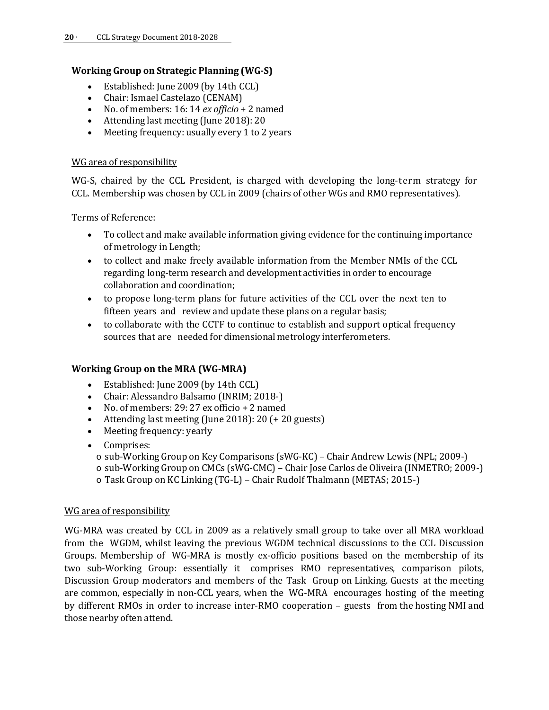### **Working Group on Strategic Planning (WG-S)**

- Established: June 2009 (by 14th CCL)
- Chair: Ismael Castelazo (CENAM)<br>• No. of members: 16: 14 ex officio +
- No. of members: 16: 14 *ex officio* + 2 named
- Attending last meeting (June 2018): 20
- Meeting frequency: usually every 1 to 2 years

#### WG area of responsibility

WG-S, chaired by the CCL President, is charged with developing the long-term strategy for CCL. Membership was chosen by CCL in 2009 (chairs of other WGs and RMO representatives).

Terms of Reference:

- To collect and make available information giving evidence for the continuing importance of metrology in Length;
- to collect and make freely available information from the Member NMIs of the CCL regarding long-term research and development activities in order to encourage collaboration and coordination;
- to propose long-term plans for future activities of the CCL over the next ten to fifteen years and review and update these plans on a regular basis;
- to collaborate with the CCTF to continue to establish and support optical frequency sources that are needed for dimensional metrology interferometers.

#### **Working Group on the MRA (WG-MRA)**

- Established: June 2009 (by 14th CCL)
- Chair: Alessandro Balsamo (INRIM; 2018-)
- No. of members: 29: 27 ex officio + 2 named
- Attending last meeting (June 2018): 20 (+ 20 guests)
- Meeting frequency: yearly
- Comprises:
	- o sub-Working Group on Key Comparisons (sWG-KC) Chair Andrew Lewis (NPL; 2009-)
	- o sub-Working Group on CMCs (sWG-CMC) Chair Jose Carlos de Oliveira (INMETRO; 2009-)
	- o Task Group on KC Linking (TG-L) Chair Rudolf Thalmann (METAS; 2015-)

#### WG area of responsibility

WG-MRA was created by CCL in 2009 as a relatively small group to take over all MRA workload from the WGDM, whilst leaving the previous WGDM technical discussions to the CCL Discussion Groups. Membership of WG-MRA is mostly ex-officio positions based on the membership of its two sub-Working Group: essentially it comprises RMO representatives, comparison pilots, Discussion Group moderators and members of the Task Group on Linking. Guests at the meeting are common, especially in non-CCL years, when the WG-MRA encourages hosting of the meeting by different RMOs in order to increase inter-RMO cooperation – guests from the hosting NMI and those nearby often attend.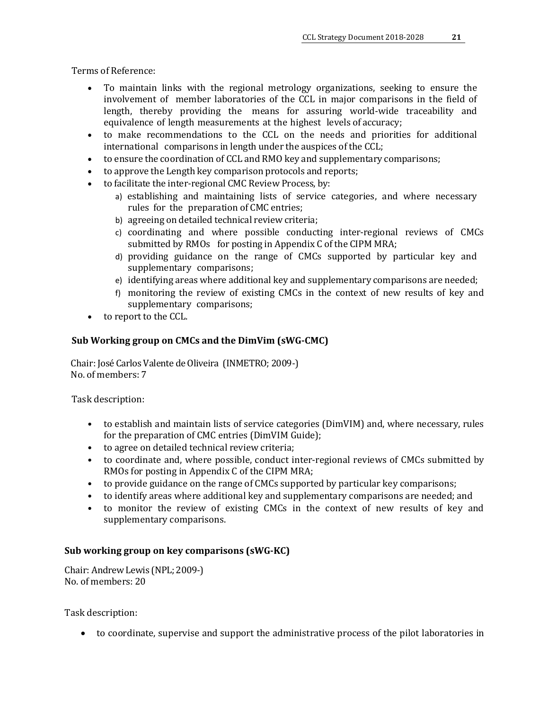Terms of Reference:

- To maintain links with the regional metrology organizations, seeking to ensure the involvement of member laboratories of the CCL in major comparisons in the field of length, thereby providing the means for assuring world-wide traceability and equivalence of length measurements at the highest levels of accuracy;
- to make recommendations to the CCL on the needs and priorities for additional international comparisons in length under the auspices of the CCL;
- to ensure the coordination of CCL and RMO key and supplementary comparisons;
- to approve the Length key comparison protocols and reports;
- to facilitate the inter-regional CMC Review Process, by:
	- a) establishing and maintaining lists of service categories, and where necessary rules for the preparation of CMC entries;
	- b) agreeing on detailed technical review criteria;
	- c) coordinating and where possible conducting inter-regional reviews of CMCs submitted by RMOs for posting in Appendix C of the CIPM MRA;
	- d) providing guidance on the range of CMCs supported by particular key and supplementary comparisons;
	- e) identifying areas where additional key and supplementary comparisons are needed;
	- f) monitoring the review of existing CMCs in the context of new results of key and supplementary comparisons;
- to report to the CCL.

#### **Sub Working group on CMCs and the DimVim (sWG-CMC)**

Chair: José Carlos Valente de Oliveira (INMETRO; 2009-) No. of members: 7

Task description:

- to establish and maintain lists of service categories (DimVIM) and, where necessary, rules for the preparation of CMC entries (DimVIM Guide);
- to agree on detailed technical review criteria;
- to coordinate and, where possible, conduct inter-regional reviews of CMCs submitted by RMOs for posting in Appendix C of the CIPM MRA;
- to provide guidance on the range of CMCs supported by particular key comparisons;
- to identify areas where additional key and supplementary comparisons are needed; and
- to monitor the review of existing CMCs in the context of new results of key and supplementary comparisons.

#### **Sub working group on key comparisons (sWG-KC)**

Chair: Andrew Lewis (NPL; 2009-) No. of members: 20

Task description:

• to coordinate, supervise and support the administrative process of the pilot laboratories in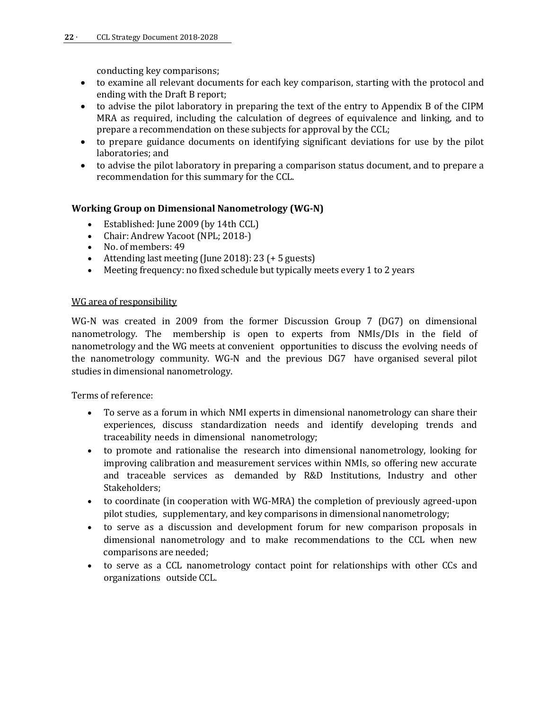conducting key comparisons;

- to examine all relevant documents for each key comparison, starting with the protocol and ending with the Draft B report;
- to advise the pilot laboratory in preparing the text of the entry to Appendix B of the CIPM MRA as required, including the calculation of degrees of equivalence and linking, and to prepare a recommendation on these subjects for approval by the CCL;
- to prepare guidance documents on identifying significant deviations for use by the pilot laboratories; and
- to advise the pilot laboratory in preparing a comparison status document, and to prepare a recommendation for this summary for the CCL.

#### **Working Group on Dimensional Nanometrology (WG-N)**

- Established: June 2009 (by 14th CCL)
- Chair: Andrew Yacoot (NPL; 2018-)<br>• No. of members: 49
- No. of members: 49
- Attending last meeting (June 2018): 23 (+ 5 guests)<br>• Meeting frequency: no fixed schedule but typically r
- Meeting frequency: no fixed schedule but typically meets every 1 to 2 years

#### WG area of responsibility

WG-N was created in 2009 from the former Discussion Group 7 (DG7) on dimensional nanometrology. The membership is open to experts from NMIs/DIs in the field of nanometrology and the WG meets at convenient opportunities to discuss the evolving needs of the nanometrology community. WG-N and the previous DG7 have organised several pilot studies in dimensional nanometrology.

Terms of reference:

- To serve as a forum in which NMI experts in dimensional nanometrology can share their experiences, discuss standardization needs and identify developing trends and traceability needs in dimensional nanometrology;
- to promote and rationalise the research into dimensional nanometrology, looking for improving calibration and measurement services within NMIs, so offering new accurate and traceable services as demanded by R&D Institutions, Industry and other Stakeholders;
- to coordinate (in cooperation with WG-MRA) the completion of previously agreed-upon pilot studies, supplementary, and key comparisons in dimensional nanometrology;
- to serve as a discussion and development forum for new comparison proposals in dimensional nanometrology and to make recommendations to the CCL when new comparisons are needed;
- to serve as a CCL nanometrology contact point for relationships with other CCs and organizations outside CCL.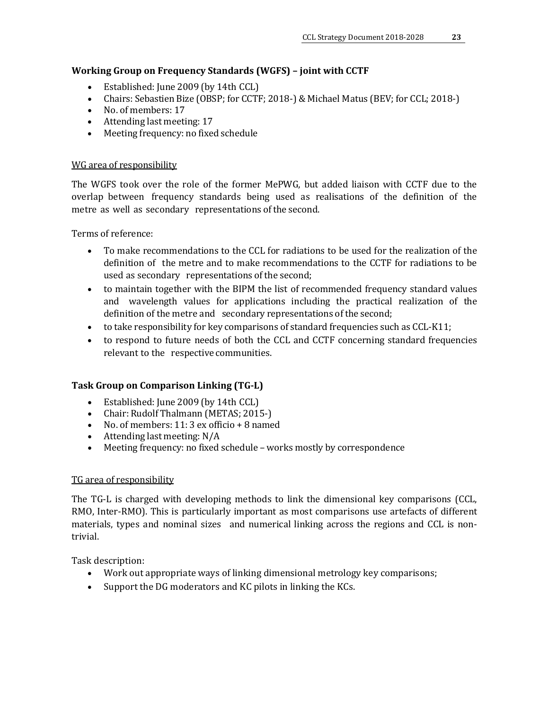## **Working Group on Frequency Standards (WGFS) – joint with CCTF**

- Established: June 2009 (by 14th CCL)
- Chairs: Sebastien Bize (OBSP; for CCTF; 2018-) & Michael Matus (BEV; for CCL; 2018-)<br>• No. of members: 17
- No. of members: 17
- Attending last meeting: 17<br>• Meeting frequency: no fixe
- Meeting frequency: no fixed schedule

#### WG area of responsibility

The WGFS took over the role of the former MePWG, but added liaison with CCTF due to the overlap between frequency standards being used as realisations of the definition of the metre as well as secondary representations of the second.

Terms of reference:

- To make recommendations to the CCL for radiations to be used for the realization of the definition of the metre and to make recommendations to the CCTF for radiations to be used as secondary representations of the second;
- to maintain together with the BIPM the list of recommended frequency standard values and wavelength values for applications including the practical realization of the definition of the metre and secondary representations of the second;
- to take responsibility for key comparisons of standard frequencies such as CCL-K11;
- to respond to future needs of both the CCL and CCTF concerning standard frequencies relevant to the respective communities.

#### **Task Group on Comparison Linking (TG-L)**

- Established: June 2009 (by 14th CCL)
- Chair: Rudolf Thalmann (METAS; 2015-)
- No. of members: 11: 3 ex officio + 8 named
- Attending last meeting: N/A
- Meeting frequency: no fixed schedule works mostly by correspondence

#### TG area of responsibility

The TG-L is charged with developing methods to link the dimensional key comparisons (CCL, RMO, Inter-RMO). This is particularly important as most comparisons use artefacts of different materials, types and nominal sizes and numerical linking across the regions and CCL is nontrivial.

Task description:

- Work out appropriate ways of linking dimensional metrology key comparisons;
- Support the DG moderators and KC pilots in linking the KCs.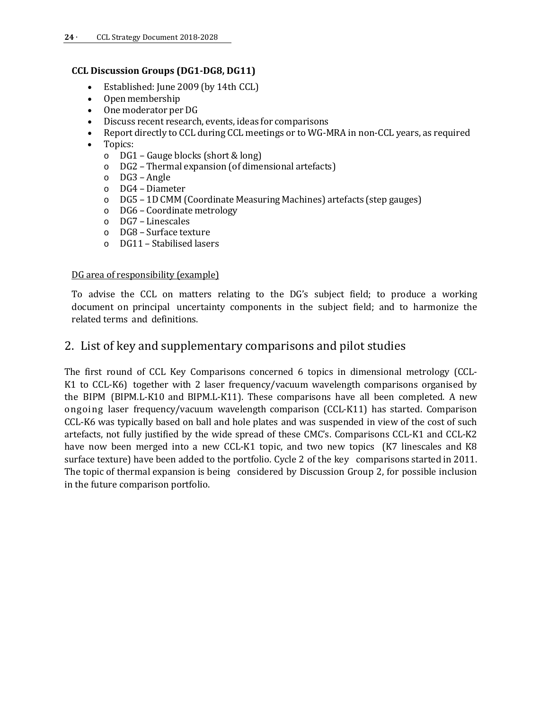#### **CCL Discussion Groups (DG1-DG8, DG11)**

- Established: June 2009 (by 14th CCL)
- Openmembership
- One moderator per DG
- Discuss recent research, events, ideas for comparisons
- Report directly to CCL during CCL meetings or to WG-MRA in non-CCL years, as required
- Topics:<br>O DG1
	-
	- o DG1 Gauge blocks (short & long) DG2 - Thermal expansion (of dimensional artefacts)
	- o DG3 Angle
	- o DG4 Diameter
	- o DG5 1D CMM (Coordinate Measuring Machines) artefacts (step gauges)
	- o DG6 Coordinate metrology
	- DG7 Linescales
	- o DG8 Surface texture
	- o DG11 Stabilised lasers

#### DG area of responsibility (example)

To advise the CCL on matters relating to the DG's subject field; to produce a working document on principal uncertainty components in the subject field; and to harmonize the related terms and definitions.

## <span id="page-23-0"></span>2. List of key and supplementary comparisons and pilot studies

The first round of CCL Key Comparisons concerned 6 topics in dimensional metrology (CCL-K1 to CCL-K6) together with 2 laser frequency/vacuum wavelength comparisons organised by the BIPM (BIPM.L-K10 and BIPM.L-K11). These comparisons have all been completed. A new ongoing laser frequency/vacuum wavelength comparison (CCL-K11) has started. Comparison CCL-K6 was typically based on ball and hole plates and was suspended in view of the cost of such artefacts, not fully justified by the wide spread of these CMC's. Comparisons CCL-K1 and CCL-K2 have now been merged into a new CCL-K1 topic, and two new topics (K7 linescales and K8 surface texture) have been added to the portfolio. Cycle 2 of the key comparisons started in 2011. The topic of thermal expansion is being considered by Discussion Group 2, for possible inclusion in the future comparison portfolio.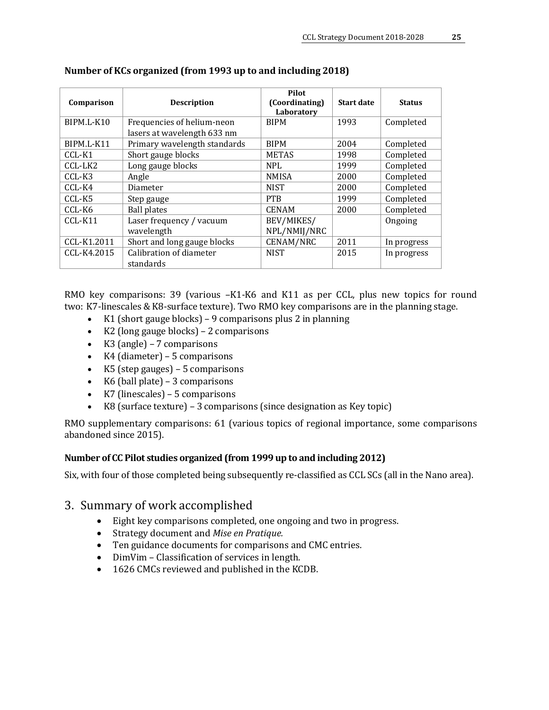| Comparison  | <b>Description</b>                                        | Pilot<br>(Coordinating)<br>Laboratory | <b>Start date</b> | <b>Status</b> |
|-------------|-----------------------------------------------------------|---------------------------------------|-------------------|---------------|
| BIPM.L-K10  | Frequencies of helium-neon<br>lasers at wavelength 633 nm | <b>BIPM</b>                           | 1993              | Completed     |
| BIPM.L-K11  | Primary wavelength standards                              | <b>BIPM</b>                           | 2004              | Completed     |
| CCL-K1      | Short gauge blocks                                        | <b>METAS</b>                          | 1998              | Completed     |
| CCL-LK2     | Long gauge blocks                                         | <b>NPL</b>                            | 1999              | Completed     |
| CCL-K3      | Angle                                                     | <b>NMISA</b>                          | 2000              | Completed     |
| CCL-K4      | Diameter                                                  | <b>NIST</b>                           | 2000              | Completed     |
| CCL-K5      | Step gauge                                                | <b>PTB</b>                            | 1999              | Completed     |
| CCL-K6      | <b>Ball plates</b>                                        | <b>CENAM</b>                          | 2000              | Completed     |
| $CCL-K11$   | Laser frequency / vacuum                                  | BEV/MIKES/                            |                   | Ongoing       |
|             | wavelength                                                | NPL/NMIJ/NRC                          |                   |               |
| CCL-K1.2011 | Short and long gauge blocks                               | <b>CENAM/NRC</b>                      | 2011              | In progress   |
| CCL-K4.2015 | Calibration of diameter<br>standards                      | <b>NIST</b>                           | 2015              | In progress   |

## **Number of KCs organized (from 1993 up to and including 2018)**

RMO key comparisons: 39 (various –K1-K6 and K11 as per CCL, plus new topics for round two: K7-linescales & K8-surface texture). Two RMO key comparisons are in the planning stage.

- K1 (short gauge blocks) 9 comparisons plus 2 in planning
- K2 (long gauge blocks) 2 comparisons
- K3 (angle) 7 comparisons
- K4 (diameter) 5 comparisons
- K5 (step gauges) 5 comparisons
- K6 (ball plate) 3 comparisons
- K7 (linescales) 5 comparisons
- K8 (surface texture) 3 comparisons (since designation as Key topic)

RMO supplementary comparisons: 61 (various topics of regional importance, some comparisons abandoned since 2015).

#### **Number of CC Pilot studies organized (from 1999 up to and including 2012)**

Six, with four of those completed being subsequently re-classified as CCL SCs (all in the Nano area).

## <span id="page-24-0"></span>3. Summary of work accomplished

- Eight key comparisons completed, one ongoing and two in progress.
- Strategy document and *Mise en Pratique.*
- Ten guidance documents for comparisons and CMC entries.
- DimVim Classification of services in length.
- 1626 CMCs reviewed and published in the KCDB.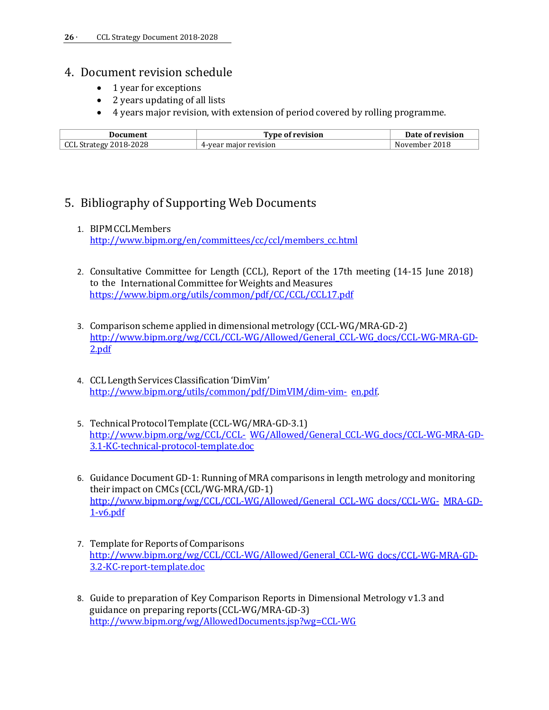## <span id="page-25-0"></span>4. Document revision schedule

- 1 year for exceptions
- 2 years updating of all lists
- 4 years major revision, with extension of period covered by rolling programme.

<span id="page-25-1"></span>

| Document               | Type of revision.        | Date of revision   |
|------------------------|--------------------------|--------------------|
| CCL Strategy 2018-2028 | major revision<br>4-year | 2018<br>November . |

# 5. Bibliography of Supporting Web Documents

#### 1. BIPMCCLMembers

[http://www.bipm.org/en/committees/cc/ccl/members\\_cc.html](http://www.bipm.org/en/committees/cc/ccl/members_cc.html)

- 2. Consultative Committee for Length (CCL), Report of the 17th meeting (14-15 June 2018) to the International Committee for Weights and Measures <https://www.bipm.org/utils/common/pdf/CC/CCL/CCL17.pdf>
- 3. Comparison scheme applied in dimensional metrology (CCL-WG/MRA-GD-2) [http://www.bipm.org/wg/CCL/CCL-WG/Allowed/General\\_CCL-WG\\_docs/CCL-WG-MRA-GD-](http://www.bipm.org/wg/CCL/CCL-WG/Allowed/General_CCL-WG_docs/CCL-WG-MRA-GD-2.pdf)[2.pdf](http://www.bipm.org/wg/CCL/CCL-WG/Allowed/General_CCL-WG_docs/CCL-WG-MRA-GD-2.pdf)
- 4. CCL Length Services Classification 'DimVim' [http://www.bipm.org/utils/common/pdf/DimVIM/dim-vim-](http://www.bipm.org/utils/common/pdf/DimVIM/dim-vim-en.pdf) [en.pdf.](http://www.bipm.org/utils/common/pdf/DimVIM/dim-vim-en.pdf)
- 5. Technical Protocol Template (CCL-WG/MRA-GD-3.1) [http://www.bipm.org/wg/CCL/CCL-](http://www.bipm.org/wg/CCL/CCL-WG/Allowed/General_CCL-WG_docs/CCL-WG-MRA-GD-3.1-KC-technical-protocol-template.doc) [WG/Allowed/General\\_CCL-WG\\_docs/CCL-WG-MRA-GD-](http://www.bipm.org/wg/CCL/CCL-WG/Allowed/General_CCL-WG_docs/CCL-WG-MRA-GD-3.1-KC-technical-protocol-template.doc)[3.1-KC-technical-protocol-template.doc](http://www.bipm.org/wg/CCL/CCL-WG/Allowed/General_CCL-WG_docs/CCL-WG-MRA-GD-3.1-KC-technical-protocol-template.doc)
- 6. Guidance Document GD-1: Running of MRA comparisons in length metrology and monitoring their impact on CMCs (CCL/WG-MRA/GD-1) [http://www.bipm.org/wg/CCL/CCL-WG/Allowed/General\\_CCL-WG\\_docs/CCL-WG-](http://www.bipm.org/wg/CCL/CCL-WG/Allowed/General_CCL-WG_docs/CCL-WG-MRA-GD-1-v6.pdf) [MRA-GD-](http://www.bipm.org/wg/CCL/CCL-WG/Allowed/General_CCL-WG_docs/CCL-WG-MRA-GD-1-v6.pdf)[1-v6.pdf](http://www.bipm.org/wg/CCL/CCL-WG/Allowed/General_CCL-WG_docs/CCL-WG-MRA-GD-1-v6.pdf)
- 7. Template for Reports of Comparisons [http://www.bipm.org/wg/CCL/CCL-WG/Allowed/General\\_CCL-WG\\_docs/CCL-WG-MRA-GD-](http://www.bipm.org/wg/CCL/CCL-WG/Allowed/General_CCL-WG_docs/CCL-WG-MRA-GD-3.2-KC-report-template.doc)[3.2-KC-report-template.doc](http://www.bipm.org/wg/CCL/CCL-WG/Allowed/General_CCL-WG_docs/CCL-WG-MRA-GD-3.2-KC-report-template.doc)
- 8. Guide to preparation of Key Comparison Reports in Dimensional Metrology v1.3 and guidance on preparing reports(CCL-WG/MRA-GD-3) <http://www.bipm.org/wg/AllowedDocuments.jsp?wg=CCL-WG>